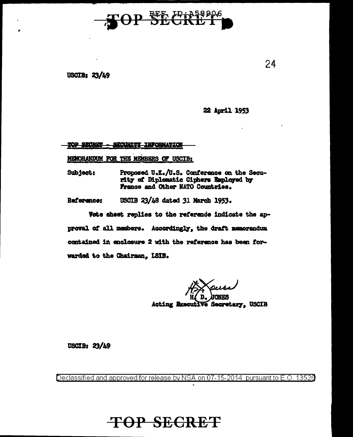

USCIB:  $23/49$ 

22 April 1953

**20P SECRIP** SECURITY INFORMATION

MENORANDUM FOR THE MEMBERS OF USCIB:

Proposed U.K./U.S. Conference on the Secu-Subject: rity of Diplomatic Ciphers Employed by France and Other NATO Countries.

USCIB 23/48 dated 31 March 1953. Reference:

Vote sheet replies to the reference indicate the approval of all members. Accordingly, the draft memorandum contained in enclosure 2 with the reference has been forwarded to the Chairman. ISIB.

Acting Executive Secretary, USCIB

USCIB:  $23/49$ 

Declassified and approved for release by NSA on 07-15-2014 pursuant to E.O. 13526

**TOP SECRET** 

24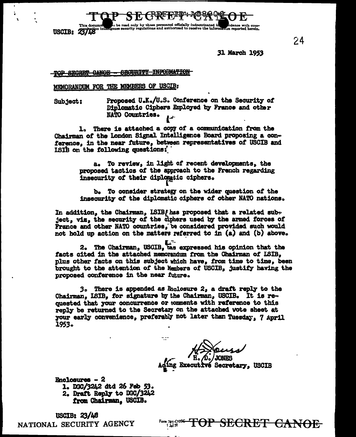)<br>on be read only by those personnel officially indoctrinated in<br>ence security regulations and authorized to receive the inform This docum USCIB: 23/48

31 March 1953

24

TOP SECRET CANOE - SECURITI INFORMATION

MEMORANDUM FOR THE MEMBERS OF USCIB:

Proposed U.K./U.S. Conference on the Security of Subject: Diplomatic Ciphers Employed by France and other NATO Countries.

1. There is attached a copy of a communication from the Chairman of the London Signal Intelligence Board proposing a conference, in the near future, between representatives of USCIB and ISIB on the following questions:

> To review, in light of recent developments, the a. proposed tactics of the approach to the French regarding insecurity of their diplomatic ciphers.

b. To consider strategy on the wider question of the insecurity of the diplomatic ciphers of other NATO nations.

In addition, the Chairman, ISIBf has proposed that a related subject, viz, the security of the ciphers used by the armed forces of France and other NATO countries, be considered provided such would not hold up action on the matters referred to in (a) and (b) above.

2. The Chairman, USCIB, tas expressed his opinion that the facts cited in the attached memorandum from the Chairman of ISIB, plus other facts on this subject which have, from time to time, been brought to the attention of the Members of USCIB, justify having the proposed conference in the near future.

3. There is appended as Enclosure 2, a draft reply to the Chairman, LSIB, for signature by the Chairman, USCIB. It is re $\infty$ quested that your concurrence or tomments with reference to this reply be returned to the Secretary on the attached vote sheet at your early convenience, preferably not later than Tuesday. 7 April 1953.

**vé Secretary, USCIB** 

**Enclosures - 2** 

1. DGC/3242 dtd 26 Feb 53. 2. Draft Reply to DGC/3242 from Chairman, USCIB.

USCIB:  $23/48$ NATIONAL SECURITY AGENCY

Form 781-C10S4<br>1 Jul 52 FOP SEGRET GANOE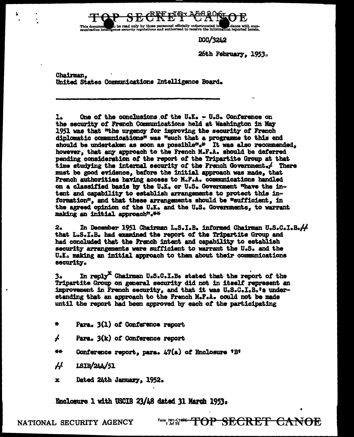)<br>to be read only by those personnel officially indoctrinated in **the following of the com-**<br>ence security regulations and authorized to receive the information reported herein. This documen

DGC/3242

26th February, 1953.

Chairman. United States Communications Intelligence Board.

 $\mathbf{L}$ One of the conclusions of the U.K. - U.S. Conference on the security of French Communications held at Washington in May 1951 was that "the urgency for improving the security of French diplomatic communications" was "such that a programme to this end should be undertaken as soon as possible".\* It was also recommended. however, that any approach to the French M.F.A. should be deferred pending consideration of the report of the Tripartite Group at that time studying the internal security of the French Government. $\angle$  There must be good evidence, before the initial approach was made, that French authorities having access to M.F.A. communications handled on a classified basis by the U.K. or U.S. Government whave the intent and capability to establish arrangements to protect this information", and that these arrangements should be "sufficient, in the agreed opinion of the U.K. and the U.S. Governments, to warrant making an initial approach".\*\*

In December 1951 Chairman L.S.I.B. informed Chairman U.S.C.I.B.44  $2.$ that L.S.I.B. had examined the report of the Tripartite Group and had concluded that the French intent and capability to establish security arrangements were sufficient to warrant the U.S. and the U.K. making an initial approach to them about their communications **security.** 

In reply<sup>X</sup> Chairman U.S.C.I.B. stated that the report of the з. Tripartite Group on general security did not in itself represent an improvement in French security, and that it was U.S.C.I.B.'s understanding that an approach to the French M.F.A. could not be made until the report had been approved by each of the participating

- $\Delta$ Para. 3(1) of Conference report
- $\boldsymbol{f}$ Para,  $3(k)$  of Conference report
- 美雄 Conference report, para.  $47(a)$  of Enclosure 'B'
- $\overline{H}$ 1SIB/244/51
- Dated 24th January, 1952.  $\mathbf{x}$

Enclosure 1 with USCIB 23/48 dated 31 March 1953.

Form 781-C1<del>066 TOP SECRET CANOE</del>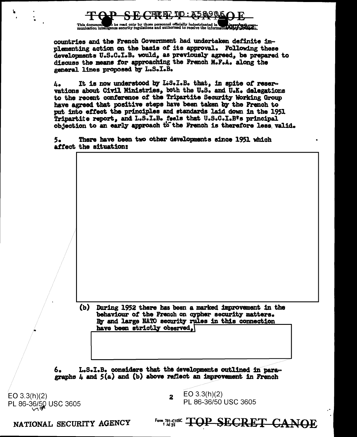

This document to be read only by those personnel officially indoctrinated in the plan in the plan in the plan in the plan in the plan in the plan in the plan in the plan in the plan in the plan in the plan in the plan in t

countries and the French Government had undertaken definite implementing action on the basis of its approval. Following these developments U.S.C.I.B. would, as previously agreed, be prepared to discuss the means for approaching the French M.F.A. along the general lines proposed by L.S.I.B.

It is now understood by L:S.I.B. that, in spite of reser-4. vations about Civil Ministries, both the U.S. and U.K. delegations to the recent conference of the Tripartite Security Working Group have agreed that positive steps have been taken by the French to put into effect the principles and standards laid down in the 1951 Tripartite report, and L.S.I.B. feels that U.S.C.I.B's principal objection to an early approach to the French is therefore less valid.

There have been two other developments since 1951 which 5. affect the situation:

> During 1952 there has been a marked improvement in the (b) behaviour of the French on cypher security matters. By and large NATO security rules in this connection have been strictly observed,

L.S.I.B. considers that the developments outlined in para-6. graphs  $\mu$  and  $5(a)$  and (b) above reflect an improvement in French

 $EO 3.3(h)(2)$ PL 86-36/50 USC 3605

EO  $3.3(h)(2)$  $\overline{\mathbf{2}}$ PL 86-36/50 USC 3605

Form 781-C108C TOP SECRET

<del>CANOE</del>

NATIONAL SECURITY AGENCY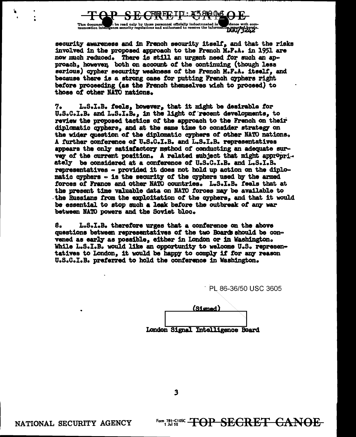

security awareness and in French security itself, and that the risks involved in the proposed approach to the French M.F.A. in 1951 are now much reduced. There is still an urgent need for such an approach, however, both on account of the continuing (though less serious) cypher security weakness of the French M.F.A. itself, and because there is a strong case for putting French cyphers right before proceeding (as the French themselves wish to proceed) to those of other NATO nations.

L.S.I.B. feels, however, that it might be desirable for 7. U.S.C.I.B. and L.S.I.B., in the light of recent developments, to review the proposed tactics of the approach to the French on their diplomatic cyphers, and at the same time to consider strategy on the wider question of the diplomatic cyphers of other NATO nations. A further conference of U.S.C.I.B. and L.S.I.B. representatives appears the only satisfactory method of conducting an adequate survey of the current position. A related subject that might appropriately be considered at a conference of U.S.C.I.B. and L.S.I.B. representatives - provided it does not hold up action on the diplomatic cyphers - is the security of the cyphers used by the armed forces of France and other NATO countries. L.S.I.B. feels that at the present time valuable data on NATO forces may be available to the Russians from the exploitation of the cyphers, and that it would be essential to stop such a leak before the outbreak of any war between NATO powers and the Soviet bloc.

8. L.S.I.B. therefore urges that a conference on the above questions between representatives of the two Boards should be convened as early as possible, either in London or in Washington. While L.S.I.B. would like an opportunity to welcome U.S. representatives to London, it would be happy to comply if for any reason U.S.C.I.B. preferred to hold the conference in Washington.

PL 86-36/50 USC 3605

Form 781-C108C -**TOP SECRET CANOE** 

|  | (Signed)                         |  |
|--|----------------------------------|--|
|  |                                  |  |
|  | London Signal Intelligence Board |  |

 $\overline{\mathbf{3}}$